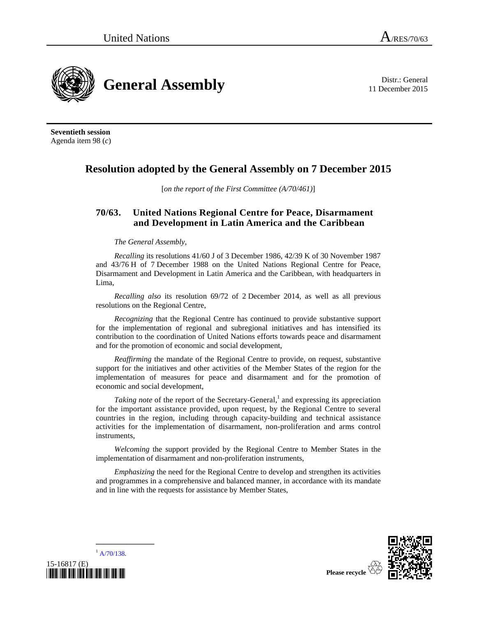11 December 2015



**Seventieth session**  Agenda item 98 (*c*)

## **Resolution adopted by the General Assembly on 7 December 2015**

[*on the report of the First Committee (A/70/461)*]

## **70/63. United Nations Regional Centre for Peace, Disarmament and Development in Latin America and the Caribbean**

## *The General Assembly*,

*Recalling* its resolutions 41/60 J of 3 December 1986, 42/39 K of 30 November 1987 and 43/76 H of 7 December 1988 on the United Nations Regional Centre for Peace, Disarmament and Development in Latin America and the Caribbean, with headquarters in Lima,

*Recalling also* its resolution 69/72 of 2 December 2014, as well as all previous resolutions on the Regional Centre,

*Recognizing* that the Regional Centre has continued to provide substantive support for the implementation of regional and subregional initiatives and has intensified its contribution to the coordination of United Nations efforts towards peace and disarmament and for the promotion of economic and social development,

*Reaffirming* the mandate of the Regional Centre to provide, on request, substantive support for the initiatives and other activities of the Member States of the region for the implementation of measures for peace and disarmament and for the promotion of economic and social development,

*Taking note* of the report of the Secretary-General,<sup>1</sup> and expressing its appreciation for the important assistance provided, upon request, by the Regional Centre to several countries in the region, including through capacity-building and technical assistance activities for the implementation of disarmament, non-proliferation and arms control instruments,

*Welcoming* the support provided by the Regional Centre to Member States in the implementation of disarmament and non-proliferation instruments,

*Emphasizing* the need for the Regional Centre to develop and strengthen its activities and programmes in a comprehensive and balanced manner, in accordance with its mandate and in line with the requests for assistance by Member States,





**\_\_\_\_\_\_\_\_\_\_\_\_\_\_\_**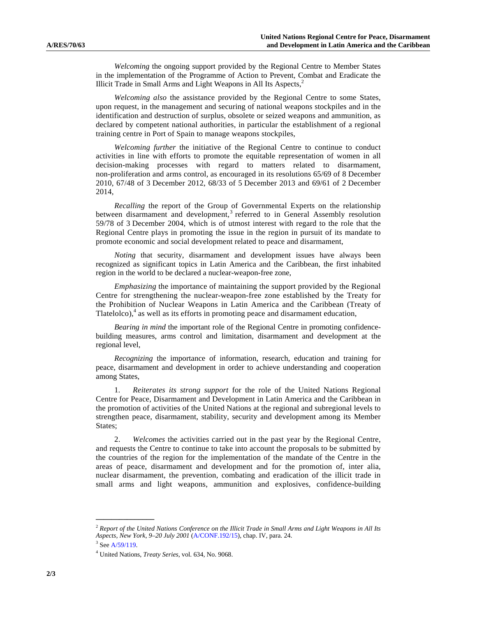*Welcoming* the ongoing support provided by the Regional Centre to Member States in the implementation of the Programme of Action to Prevent, Combat and Eradicate the Illicit Trade in Small Arms and Light Weapons in All Its Aspects,<sup>2</sup>

*Welcoming also* the assistance provided by the Regional Centre to some States, upon request, in the management and securing of national weapons stockpiles and in the identification and destruction of surplus, obsolete or seized weapons and ammunition, as declared by competent national authorities, in particular the establishment of a regional training centre in Port of Spain to manage weapons stockpiles,

*Welcoming further* the initiative of the Regional Centre to continue to conduct activities in line with efforts to promote the equitable representation of women in all decision-making processes with regard to matters related to disarmament, non-proliferation and arms control, as encouraged in its resolutions 65/69 of 8 December 2010, 67/48 of 3 December 2012, 68/33 of 5 December 2013 and 69/61 of 2 December 2014,

*Recalling* the report of the Group of Governmental Experts on the relationship between disarmament and development,<sup>3</sup> referred to in General Assembly resolution 59/78 of 3 December 2004, which is of utmost interest with regard to the role that the Regional Centre plays in promoting the issue in the region in pursuit of its mandate to promote economic and social development related to peace and disarmament,

*Noting* that security, disarmament and development issues have always been recognized as significant topics in Latin America and the Caribbean, the first inhabited region in the world to be declared a nuclear-weapon-free zone,

*Emphasizing* the importance of maintaining the support provided by the Regional Centre for strengthening the nuclear-weapon-free zone established by the Treaty for the Prohibition of Nuclear Weapons in Latin America and the Caribbean (Treaty of Tlatelolco), 4 as well as its efforts in promoting peace and disarmament education,

*Bearing in mind* the important role of the Regional Centre in promoting confidencebuilding measures, arms control and limitation, disarmament and development at the regional level,

*Recognizing* the importance of information, research, education and training for peace, disarmament and development in order to achieve understanding and cooperation among States,

 1. *Reiterates its strong support* for the role of the United Nations Regional Centre for Peace, Disarmament and Development in Latin America and the Caribbean in the promotion of activities of the United Nations at the regional and subregional levels to strengthen peace, disarmament, stability, security and development among its Member States:

 2. *Welcomes* the activities carried out in the past year by the Regional Centre, and requests the Centre to continue to take into account the proposals to be submitted by the countries of the region for the implementation of the mandate of the Centre in the areas of peace, disarmament and development and for the promotion of, inter alia, nuclear disarmament, the prevention, combating and eradication of the illicit trade in small arms and light weapons, ammunition and explosives, confidence-building

**\_\_\_\_\_\_\_\_\_\_\_\_\_\_\_** 

<sup>2</sup>  *Report of the United Nations Conference on the Illicit Trade in Small Arms and Light Weapons in All Its Aspects, New York, 9–20 July 2001* (A/CONF.192/15), chap. IV, para. 24. 3

 $3$  See A/59/119.

United Nations, *Treaty Series*, vol. 634, No. 9068.